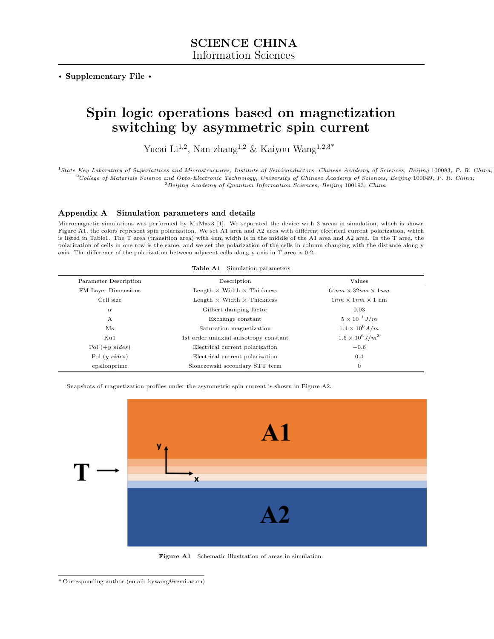. Supplementary File .

## Spin logic operations based on magnetization switching by asymmetric spin current

Yucai Li<sup>1,2</sup>, Nan zhang<sup>1,2</sup> & Kaiyou Wang<sup>1,2,3\*</sup>

<sup>1</sup>State Key Laboratory of Superlattices and Microstructures, Institute of Semiconductors, Chinese Academy of Sciences, Beijing 100083, P. R. China;  $2$ College of Materials Science and Opto-Electronic Technology, University of Chinese Academy of Sciences, Beijing 100049, P. R. China;  $^3Beijing\ Academy$  of Quantum Information Sciences, Beijing 100193, China

## Appendix A Simulation parameters and details

Micromagnetic simulations was performed by MuMax3 [\[1\]](#page-1-0). We separated the device with 3 areas in simulation, which is shown Figure A1, the colors represent spin polarization. We set A1 area and A2 area with different electrical current polarization, which is listed in Table1. The T area (transition area) with 4nm width is in the middle of the A1 area and A2 area. In the T area, the polarization of cells in one row is the same, and we set the polarization of the cells in column changing with the distance along y axis. The difference of the polarization between adjacent cells along y axis in T area is 0.2.

|                       | <b>Table A1</b> Simulation parameters    |                               |
|-----------------------|------------------------------------------|-------------------------------|
| Parameter Description | Description                              | Values                        |
| FM Layer Dimensions   | Length $\times$ Width $\times$ Thickness | $64nm \times 32nm \times 1nm$ |
| Cell size             | Length $\times$ Width $\times$ Thickness | $1nm \times 1nm \times 1$ nm  |
| $\alpha$              | Gilbert damping factor                   | 0.03                          |
| A                     | Exchange constant                        | $5 \times 10^{11} J/m$        |
| Ms                    | Saturation magnetization                 | $1.4 \times 10^{6} A/m$       |
| Ku1                   | 1st order uniaxial anisotropy constant   | $1.5 \times 10^6 J/m^3$       |
| Pol $(+y \; sides)$   | Electrical current polarization          | $-0.6$                        |
| Pol $(y \; sides)$    | Electrical current polarization          | 0.4                           |
| epsilonprime          | Slonczewski secondary STT term           | $\overline{0}$                |

Snapshots of magnetization profiles under the asymmetric spin current is shown in Figure A2.



Figure A1 Schematic illustration of areas in simulation.

<sup>\*</sup> Corresponding author (email: kywang@semi.ac.cn)